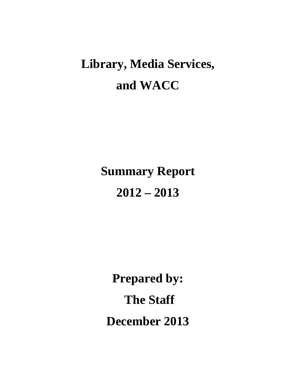# **Library, Media Services, and WACC**

# **Summary Report 2012 – 2013**

**Prepared by: The Staff December 2013**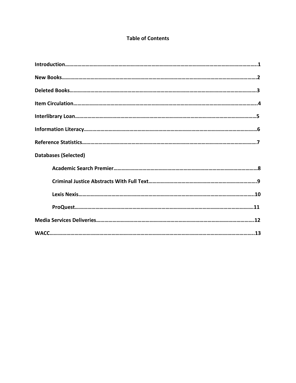# **Table of Contents**

| <b>Databases (Selected)</b> |  |
|-----------------------------|--|
|                             |  |
|                             |  |
|                             |  |
|                             |  |
|                             |  |
|                             |  |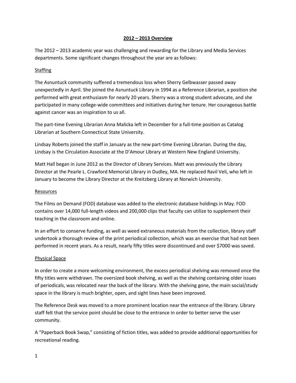#### **2012 – 2013 Overview**

The 2012 – 2013 academic year was challenging and rewarding for the Library and Media Services departments. Some significant changes throughout the year are as follows:

#### **Staffing**

The Asnuntuck community suffered a tremendous loss when Sherry Gelbwasser passed away unexpectedly in April. She joined the Asnuntuck Library in 1994 as a Reference Librarian, a position she performed with great enthusiasm for nearly 20 years. Sherry was a strong student advocate, and she participated in many college-wide committees and initiatives during her tenure. Her courageous battle against cancer was an inspiration to us all.

The part-time Evening Librarian Anna Malicka left in December for a full-time position as Catalog Librarian at Southern Connecticut State University.

Lindsay Roberts joined the staff in January as the new part-time Evening Librarian. During the day, Lindsay is the Circulation Associate at the D'Amour Library at Western New England University.

Matt Hall began in June 2012 as the Director of Library Services. Matt was previously the Library Director at the Pearle L. Crawford Memorial Library in Dudley, MA. He replaced Ravil Veli, who left in January to become the Library Director at the Kreitzberg Library at Norwich University.

#### **Resources**

The Films on Demand (FOD) database was added to the electronic database holdings in May. FOD contains over 14,000 full-length videos and 200,000 clips that faculty can utilize to supplement their teaching in the classroom and online.

In an effort to conserve funding, as well as weed extraneous materials from the collection, library staff undertook a thorough review of the print periodical collection, which was an exercise that had not been performed in recent years. As a result, nearly fifty titles were discontinued and over \$7000 was saved.

#### Physical Space

In order to create a more welcoming environment, the excess periodical shelving was removed once the fifty titles were withdrawn. The oversized book shelving, as well as the shelving containing older issues of periodicals, was relocated near the back of the library. With the shelving gone, the main social/study space in the library is much brighter, open, and sight lines have been improved.

The Reference Desk was moved to a more prominent location near the entrance of the library. Library staff felt that the service point should be close to the entrance in order to better serve the user community.

A "Paperback Book Swap," consisting of fiction titles, was added to provide additional opportunities for recreational reading.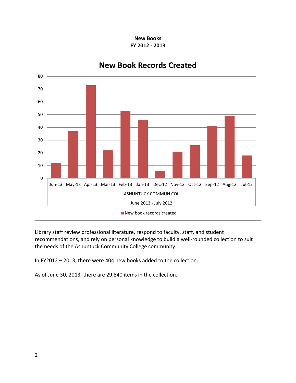**New Books FY 2012 - 2013**



Library staff review professional literature, respond to faculty, staff, and student recommendations, and rely on personal knowledge to build a well-rounded collection to suit the needs of the Asnuntuck Community College community.

In FY2012 – 2013, there were 404 new books added to the collection.

As of June 30, 2013, there are 29,840 items in the collection.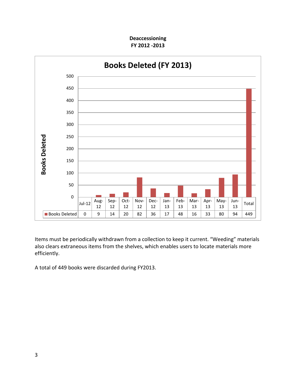**Deaccessioning FY 2012 -2013**



Items must be periodically withdrawn from a collection to keep it current. "Weeding" materials also clears extraneous items from the shelves, which enables users to locate materials more efficiently.

A total of 449 books were discarded during FY2013.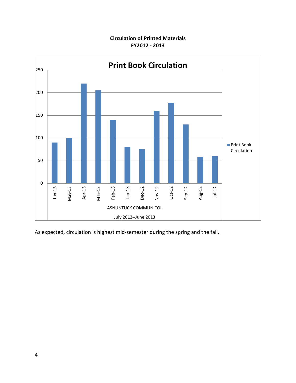### **Circulation of Printed Materials FY2012 - 2013**



As expected, circulation is highest mid-semester during the spring and the fall.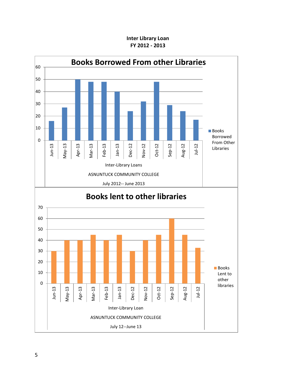#### **Inter Library Loan FY 2012 - 2013**

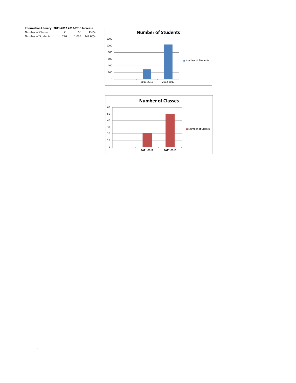

## **Information Literacy 2011-2012 2012-2013 Increase** Number of Classes 21 50 138% Number of Students 296 1,035 249.60%

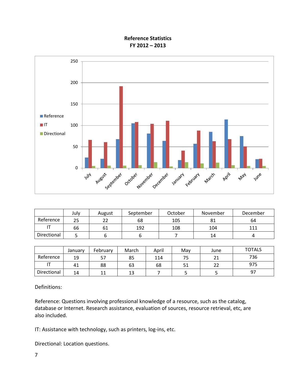**Reference Statistics FY 2012 – 2013**



|             | July | August    | September | October | November | December |
|-------------|------|-----------|-----------|---------|----------|----------|
| Reference   | 25   | າາ<br>ے ے | 68        | 105     | 81       | 64       |
|             | 66   | 61        | 192       | 108     | 104      | 111      |
| Directional |      |           |           |         | 14       | 4        |

|             | Januarv | February | March | April | Mav | June     | <b>TOTALS</b> |
|-------------|---------|----------|-------|-------|-----|----------|---------------|
| Reference   | 19      |          | 85    | 114   |     | ↑∙<br>ᅀᅩ | 736           |
|             | 41      | 88       | 63    | 68    | JГ  | ~~<br>ے  | 975           |
| Directional | 14      | 11       | 13    |       |     |          | 97            |

Definitions:

Reference: Questions involving professional knowledge of a resource, such as the catalog, database or Internet. Research assistance, evaluation of sources, resource retrieval, etc, are also included.

IT: Assistance with technology, such as printers, log-ins, etc.

Directional: Location questions.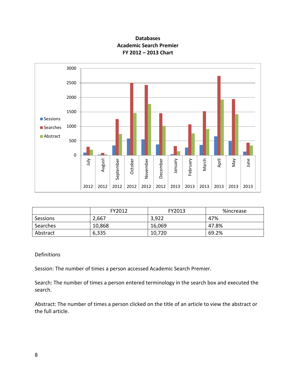



|          | FY2012 | FY2013 | %increase |
|----------|--------|--------|-----------|
| Sessions | 2,667  | 3,922  | 47%       |
| Searches | 10,868 | 16,069 | 47.8%     |
| Abstract | 6,335  | 10,720 | 69.2%     |

#### Definitions

Session: The number of times a person accessed Academic Search Premier.

Search: The number of times a person entered terminology in the search box and executed the search.

Abstract: The number of times a person clicked on the title of an article to view the abstract or the full article.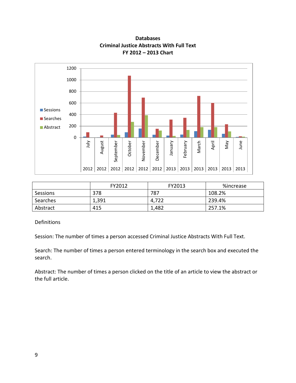

**Databases Criminal Justice Abstracts With Full Text FY 2012 – 2013 Chart**

|          | FY2012 | FY2013 | %increase |
|----------|--------|--------|-----------|
| Sessions | 378    | 787    | 108.2%    |
| Searches | 1,391  | 4,722  | 239.4%    |
| Abstract | 415    | 1,482  | 257.1%    |

**Definitions** 

Session: The number of times a person accessed Criminal Justice Abstracts With Full Text.

Search: The number of times a person entered terminology in the search box and executed the search.

Abstract: The number of times a person clicked on the title of an article to view the abstract or the full article.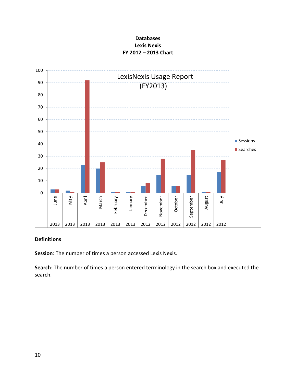## **Databases Lexis Nexis FY 2012 – 2013 Chart**



#### **Definitions**

**Session**: The number of times a person accessed Lexis Nexis.

**Search**: The number of times a person entered terminology in the search box and executed the search.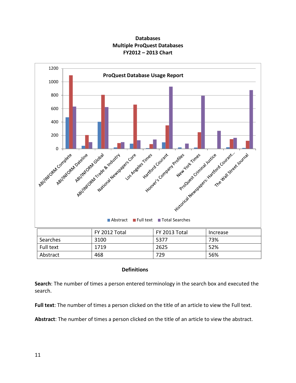



|  | <b>Definitions</b> |  |
|--|--------------------|--|

Abstract 468 729 56%

**Search**: The number of times a person entered terminology in the search box and executed the search.

**Full text**: The number of times a person clicked on the title of an article to view the Full text.

**Abstract**: The number of times a person clicked on the title of an article to view the abstract.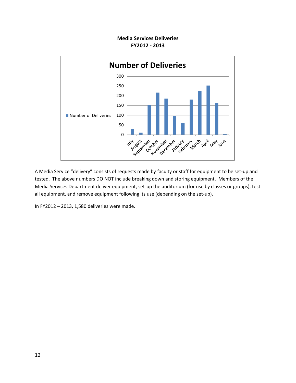#### **Media Services Deliveries FY2012 - 2013**



A Media Service "delivery" consists of requests made by faculty or staff for equipment to be set-up and tested. The above numbers DO NOT include breaking down and storing equipment. Members of the Media Services Department deliver equipment, set-up the auditorium (for use by classes or groups), test all equipment, and remove equipment following its use (depending on the set-up).

In FY2012 – 2013, 1,580 deliveries were made.